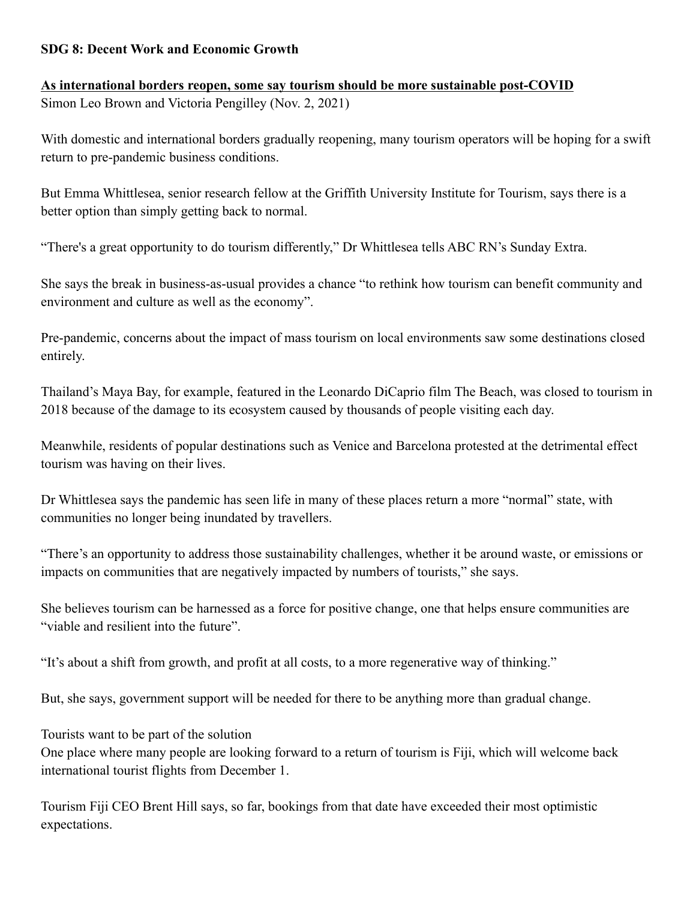## **SDG 8: Decent Work and Economic Growth**

**As international borders reopen, some say tourism should be more sustainable post-COVID** Simon Leo Brown and Victoria Pengilley (Nov. 2, 2021)

With domestic and international borders gradually reopening, many tourism operators will be hoping for a swift return to pre-pandemic business conditions.

But Emma Whittlesea, senior research fellow at the Griffith University Institute for Tourism, says there is a better option than simply getting back to normal.

"There's a great opportunity to do tourism differently," Dr Whittlesea tells ABC RN's Sunday Extra.

She says the break in business-as-usual provides a chance "to rethink how tourism can benefit community and environment and culture as well as the economy".

Pre-pandemic, concerns about the impact of mass tourism on local environments saw some destinations closed entirely.

Thailand's Maya Bay, for example, featured in the Leonardo DiCaprio film The Beach, was closed to tourism in 2018 because of the damage to its ecosystem caused by thousands of people visiting each day.

Meanwhile, residents of popular destinations such as Venice and Barcelona protested at the detrimental effect tourism was having on their lives.

Dr Whittlesea says the pandemic has seen life in many of these places return a more "normal" state, with communities no longer being inundated by travellers.

"There's an opportunity to address those sustainability challenges, whether it be around waste, or emissions or impacts on communities that are negatively impacted by numbers of tourists," she says.

She believes tourism can be harnessed as a force for positive change, one that helps ensure communities are "viable and resilient into the future".

"It's about a shift from growth, and profit at all costs, to a more regenerative way of thinking."

But, she says, government support will be needed for there to be anything more than gradual change.

Tourists want to be part of the solution

One place where many people are looking forward to a return of tourism is Fiji, which will welcome back international tourist flights from December 1.

Tourism Fiji CEO Brent Hill says, so far, bookings from that date have exceeded their most optimistic expectations.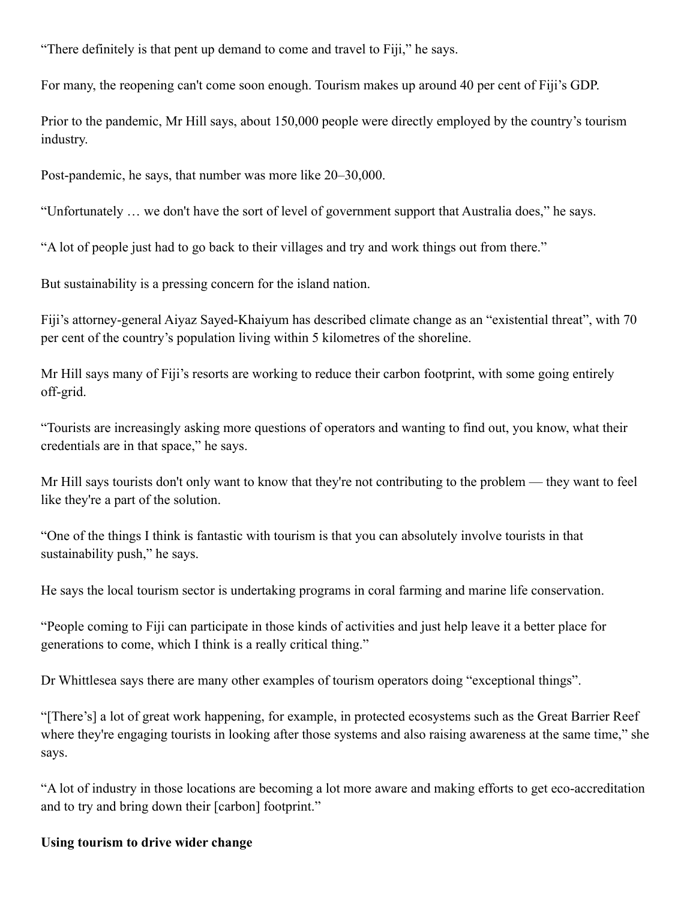"There definitely is that pent up demand to come and travel to Fiji," he says.

For many, the reopening can't come soon enough. Tourism makes up around 40 per cent of Fiji's GDP.

Prior to the pandemic, Mr Hill says, about 150,000 people were directly employed by the country's tourism industry.

Post-pandemic, he says, that number was more like 20–30,000.

"Unfortunately … we don't have the sort of level of government support that Australia does," he says.

"A lot of people just had to go back to their villages and try and work things out from there."

But sustainability is a pressing concern for the island nation.

Fiji's attorney-general Aiyaz Sayed-Khaiyum has described climate change as an "existential threat", with 70 per cent of the country's population living within 5 kilometres of the shoreline.

Mr Hill says many of Fiji's resorts are working to reduce their carbon footprint, with some going entirely off-grid.

"Tourists are increasingly asking more questions of operators and wanting to find out, you know, what their credentials are in that space," he says.

Mr Hill says tourists don't only want to know that they're not contributing to the problem — they want to feel like they're a part of the solution.

"One of the things I think is fantastic with tourism is that you can absolutely involve tourists in that sustainability push," he says.

He says the local tourism sector is undertaking programs in coral farming and marine life conservation.

"People coming to Fiji can participate in those kinds of activities and just help leave it a better place for generations to come, which I think is a really critical thing."

Dr Whittlesea says there are many other examples of tourism operators doing "exceptional things".

"[There's] a lot of great work happening, for example, in protected ecosystems such as the Great Barrier Reef where they're engaging tourists in looking after those systems and also raising awareness at the same time," she says.

"A lot of industry in those locations are becoming a lot more aware and making efforts to get eco-accreditation and to try and bring down their [carbon] footprint."

## **Using tourism to drive wider change**